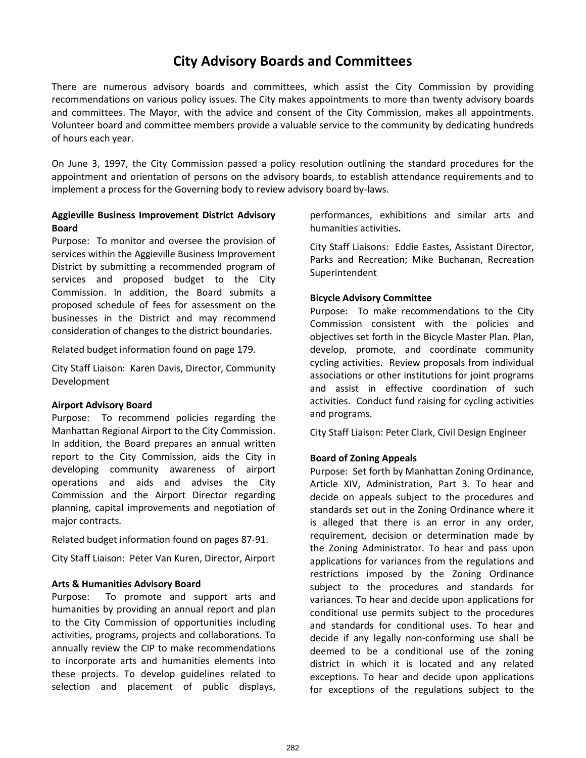# **City Advisory Boards and Committees**

There are numerous advisory boards and committees, which assist the City Commission by providing recommendations on various policy issues. The City makes appointments to more than twenty advisory boards and committees. The Mayor, with the advice and consent of the City Commission, makes all appointments. Volunteer board and committee members provide a valuable service to the community by dedicating hundreds of hours each year.

On June 3, 1997, the City Commission passed a policy resolution outlining the standard procedures for the appointment and orientation of persons on the advisory boards, to establish attendance requirements and to implement a process for the Governing body to review advisory board by-laws.

## **Aggieville Business Improvement District Advisory Board**

Purpose: To monitor and oversee the provision of services within the Aggieville Business Improvement District by submitting a recommended program of services and proposed budget to the City Commission. In addition, the Board submits a proposed schedule of fees for assessment on the businesses in the District and may recommend consideration of changes to the district boundaries.

Related budget information found on page 179.

City Staff Liaison: Karen Davis, Director, Community Development

#### **Airport Advisory Board**

Purpose: To recommend policies regarding the Manhattan Regional Airport to the City Commission. In addition, the Board prepares an annual written report to the City Commission, aids the City in developing community awareness of airport operations and aids and advises the City Commission and the Airport Director regarding planning, capital improvements and negotiation of major contracts*.* 

Related budget information found on pages 87-91.

City Staff Liaison: Peter Van Kuren, Director, Airport

## **Arts & Humanities Advisory Board**

Purpose: To promote and support arts and humanities by providing an annual report and plan to the City Commission of opportunities including activities, programs, projects and collaborations. To annually review the CIP to make recommendations to incorporate arts and humanities elements into these projects. To develop guidelines related to selection and placement of public displays, performances, exhibitions and similar arts and humanities activities**.** 

City Staff Liaisons: Eddie Eastes, Assistant Director, Parks and Recreation; Mike Buchanan, Recreation Superintendent

## **Bicycle Advisory Committee**

Purpose: To make recommendations to the City Commission consistent with the policies and objectives set forth in the Bicycle Master Plan. Plan, develop, promote, and coordinate community cycling activities. Review proposals from individual associations or other institutions for joint programs and assist in effective coordination of such activities. Conduct fund raising for cycling activities and programs.

City Staff Liaison: Peter Clark, Civil Design Engineer

## **Board of Zoning Appeals**

Purpose: Set forth by Manhattan Zoning Ordinance, Article XIV, Administration, Part 3. To hear and decide on appeals subject to the procedures and standards set out in the Zoning Ordinance where it is alleged that there is an error in any order, requirement, decision or determination made by the Zoning Administrator. To hear and pass upon applications for variances from the regulations and restrictions imposed by the Zoning Ordinance subject to the procedures and standards for variances. To hear and decide upon applications for conditional use permits subject to the procedures and standards for conditional uses. To hear and decide if any legally non-conforming use shall be deemed to be a conditional use of the zoning district in which it is located and any related exceptions. To hear and decide upon applications for exceptions of the regulations subject to the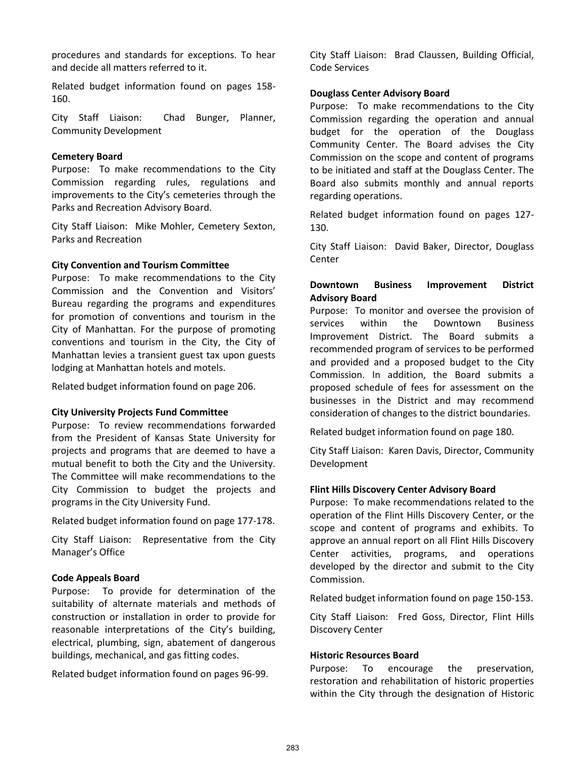procedures and standards for exceptions. To hear and decide all matters referred to it.

Related budget information found on pages 158- 160.

City Staff Liaison: Chad Bunger, Planner, Community Development

#### **Cemetery Board**

Purpose: To make recommendations to the City Commission regarding rules, regulations and improvements to the City's cemeteries through the Parks and Recreation Advisory Board.

City Staff Liaison: Mike Mohler, Cemetery Sexton, Parks and Recreation

## **City Convention and Tourism Committee**

Purpose: To make recommendations to the City Commission and the Convention and Visitors' Bureau regarding the programs and expenditures for promotion of conventions and tourism in the City of Manhattan. For the purpose of promoting conventions and tourism in the City, the City of Manhattan levies a transient guest tax upon guests lodging at Manhattan hotels and motels.

Related budget information found on page 206.

#### **City University Projects Fund Committee**

Purpose: To review recommendations forwarded from the President of Kansas State University for projects and programs that are deemed to have a mutual benefit to both the City and the University. The Committee will make recommendations to the City Commission to budget the projects and programs in the City University Fund.

Related budget information found on page 177-178.

City Staff Liaison: Representative from the City Manager's Office

## **Code Appeals Board**

Purpose: To provide for determination of the suitability of alternate materials and methods of construction or installation in order to provide for reasonable interpretations of the City's building, electrical, plumbing, sign, abatement of dangerous buildings, mechanical, and gas fitting codes.

Related budget information found on pages 96-99.

City Staff Liaison: Brad Claussen, Building Official, Code Services

## **Douglass Center Advisory Board**

Purpose: To make recommendations to the City Commission regarding the operation and annual budget for the operation of the Douglass Community Center. The Board advises the City Commission on the scope and content of programs to be initiated and staff at the Douglass Center. The Board also submits monthly and annual reports regarding operations.

Related budget information found on pages 127- 130.

City Staff Liaison: David Baker, Director, Douglass **Center** 

## **Downtown Business Improvement District Advisory Board**

Purpose: To monitor and oversee the provision of services within the Downtown Business Improvement District. The Board submits a recommended program of services to be performed and provided and a proposed budget to the City Commission. In addition, the Board submits a proposed schedule of fees for assessment on the businesses in the District and may recommend consideration of changes to the district boundaries.

Related budget information found on page 180.

City Staff Liaison: Karen Davis, Director, Community Development

## **Flint Hills Discovery Center Advisory Board**

Purpose: To make recommendations related to the operation of the Flint Hills Discovery Center, or the scope and content of programs and exhibits. To approve an annual report on all Flint Hills Discovery Center activities, programs, and operations developed by the director and submit to the City Commission.

Related budget information found on page 150-153.

City Staff Liaison: Fred Goss, Director, Flint Hills Discovery Center

#### **Historic Resources Board**

Purpose: To encourage the preservation, restoration and rehabilitation of historic properties within the City through the designation of Historic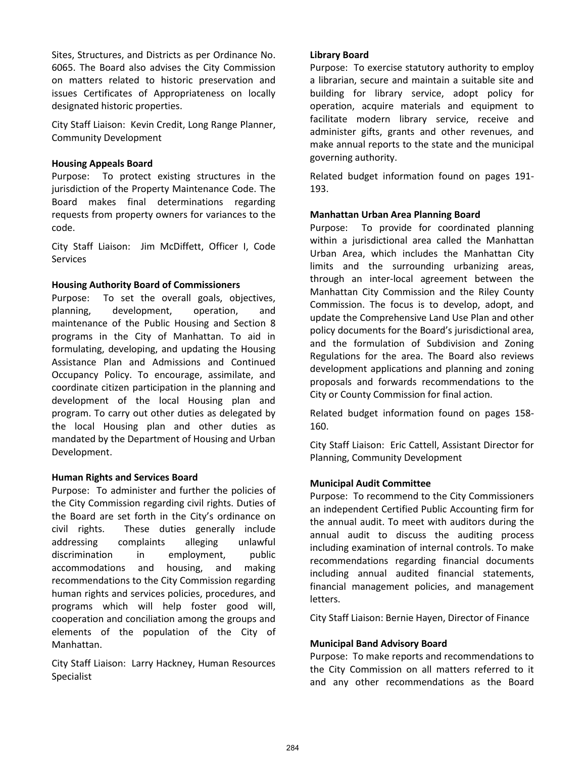Sites, Structures, and Districts as per Ordinance No. 6065. The Board also advises the City Commission on matters related to historic preservation and issues Certificates of Appropriateness on locally designated historic properties.

City Staff Liaison: Kevin Credit, Long Range Planner, Community Development

## **Housing Appeals Board**

Purpose: To protect existing structures in the jurisdiction of the Property Maintenance Code. The Board makes final determinations regarding requests from property owners for variances to the code.

City Staff Liaison: Jim McDiffett, Officer I, Code **Services** 

## **Housing Authority Board of Commissioners**

Purpose: To set the overall goals, objectives, planning, development, operation, and maintenance of the Public Housing and Section 8 programs in the City of Manhattan. To aid in formulating, developing, and updating the Housing Assistance Plan and Admissions and Continued Occupancy Policy. To encourage, assimilate, and coordinate citizen participation in the planning and development of the local Housing plan and program. To carry out other duties as delegated by the local Housing plan and other duties as mandated by the Department of Housing and Urban Development.

## **Human Rights and Services Board**

Purpose: To administer and further the policies of the City Commission regarding civil rights. Duties of the Board are set forth in the City's ordinance on civil rights. These duties generally include addressing complaints alleging unlawful discrimination in employment, public accommodations and housing, and making recommendations to the City Commission regarding human rights and services policies, procedures, and programs which will help foster good will, cooperation and conciliation among the groups and elements of the population of the City of Manhattan.

City Staff Liaison: Larry Hackney, Human Resources Specialist

## **Library Board**

Purpose: To exercise statutory authority to employ a librarian, secure and maintain a suitable site and building for library service, adopt policy for operation, acquire materials and equipment to facilitate modern library service, receive and administer gifts, grants and other revenues, and make annual reports to the state and the municipal governing authority.

Related budget information found on pages 191- 193.

## **Manhattan Urban Area Planning Board**

Purpose: To provide for coordinated planning within a jurisdictional area called the Manhattan Urban Area, which includes the Manhattan City limits and the surrounding urbanizing areas, through an inter-local agreement between the Manhattan City Commission and the Riley County Commission. The focus is to develop, adopt, and update the Comprehensive Land Use Plan and other policy documents for the Board's jurisdictional area, and the formulation of Subdivision and Zoning Regulations for the area. The Board also reviews development applications and planning and zoning proposals and forwards recommendations to the City or County Commission for final action.

Related budget information found on pages 158- 160.

City Staff Liaison: Eric Cattell, Assistant Director for Planning, Community Development

#### **Municipal Audit Committee**

Purpose: To recommend to the City Commissioners an independent Certified Public Accounting firm for the annual audit. To meet with auditors during the annual audit to discuss the auditing process including examination of internal controls. To make recommendations regarding financial documents including annual audited financial statements, financial management policies, and management letters.

City Staff Liaison: Bernie Hayen, Director of Finance

#### **Municipal Band Advisory Board**

Purpose: To make reports and recommendations to the City Commission on all matters referred to it and any other recommendations as the Board